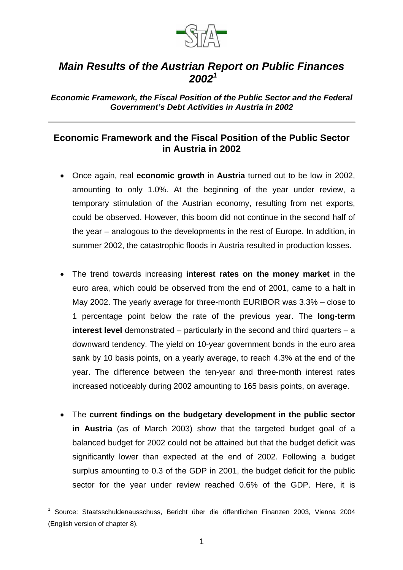

## *Main Results of the Austrian Report on Public Finances 2002<sup>1</sup>*

*Economic Framework, the Fiscal Position of the Public Sector and the Federal Government's Debt Activities in Austria in 2002*

## **Economic Framework and the Fiscal Position of the Public Sector in Austria in 2002**

- Once again, real **economic growth** in **Austria** turned out to be low in 2002, amounting to only 1.0%. At the beginning of the year under review, a temporary stimulation of the Austrian economy, resulting from net exports, could be observed. However, this boom did not continue in the second half of the year – analogous to the developments in the rest of Europe. In addition, in summer 2002, the catastrophic floods in Austria resulted in production losses.
- The trend towards increasing **interest rates on the money market** in the euro area, which could be observed from the end of 2001, came to a halt in May 2002. The yearly average for three-month EURIBOR was 3.3% – close to 1 percentage point below the rate of the previous year. The **long-term interest level** demonstrated – particularly in the second and third quarters – a downward tendency. The yield on 10-year government bonds in the euro area sank by 10 basis points, on a yearly average, to reach 4.3% at the end of the year. The difference between the ten-year and three-month interest rates increased noticeably during 2002 amounting to 165 basis points, on average.
- The **current findings on the budgetary development in the public sector in Austria** (as of March 2003) show that the targeted budget goal of a balanced budget for 2002 could not be attained but that the budget deficit was significantly lower than expected at the end of 2002. Following a budget surplus amounting to 0.3 of the GDP in 2001, the budget deficit for the public sector for the year under review reached 0.6% of the GDP. Here, it is

l

<sup>1</sup> Source: Staatsschuldenausschuss, Bericht über die öffentlichen Finanzen 2003, Vienna 2004 (English version of chapter 8).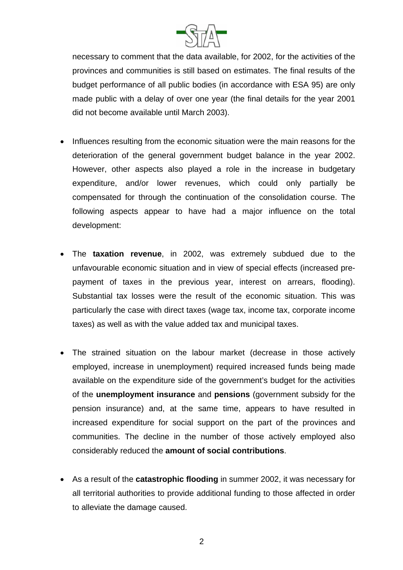

necessary to comment that the data available, for 2002, for the activities of the provinces and communities is still based on estimates. The final results of the budget performance of all public bodies (in accordance with ESA 95) are only made public with a delay of over one year (the final details for the year 2001 did not become available until March 2003).

- Influences resulting from the economic situation were the main reasons for the deterioration of the general government budget balance in the year 2002. However, other aspects also played a role in the increase in budgetary expenditure, and/or lower revenues, which could only partially be compensated for through the continuation of the consolidation course. The following aspects appear to have had a major influence on the total development:
- The **taxation revenue**, in 2002, was extremely subdued due to the unfavourable economic situation and in view of special effects (increased prepayment of taxes in the previous year, interest on arrears, flooding). Substantial tax losses were the result of the economic situation. This was particularly the case with direct taxes (wage tax, income tax, corporate income taxes) as well as with the value added tax and municipal taxes.
- The strained situation on the labour market (decrease in those actively employed, increase in unemployment) required increased funds being made available on the expenditure side of the government's budget for the activities of the **unemployment insurance** and **pensions** (government subsidy for the pension insurance) and, at the same time, appears to have resulted in increased expenditure for social support on the part of the provinces and communities. The decline in the number of those actively employed also considerably reduced the **amount of social contributions**.
- As a result of the **catastrophic flooding** in summer 2002, it was necessary for all territorial authorities to provide additional funding to those affected in order to alleviate the damage caused.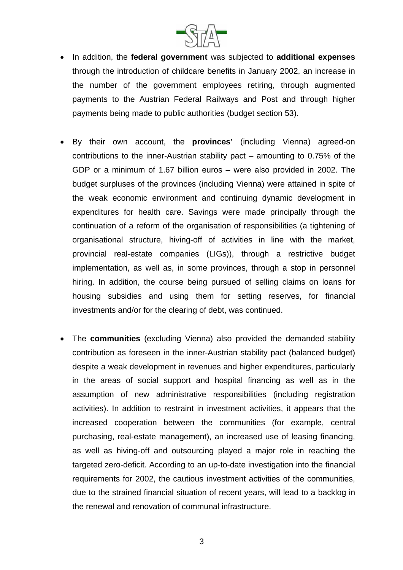

- In addition, the **federal government** was subjected to **additional expenses** through the introduction of childcare benefits in January 2002, an increase in the number of the government employees retiring, through augmented payments to the Austrian Federal Railways and Post and through higher payments being made to public authorities (budget section 53).
- By their own account, the **provinces'** (including Vienna) agreed-on contributions to the inner-Austrian stability pact – amounting to 0.75% of the GDP or a minimum of 1.67 billion euros – were also provided in 2002. The budget surpluses of the provinces (including Vienna) were attained in spite of the weak economic environment and continuing dynamic development in expenditures for health care. Savings were made principally through the continuation of a reform of the organisation of responsibilities (a tightening of organisational structure, hiving-off of activities in line with the market, provincial real-estate companies (LIGs)), through a restrictive budget implementation, as well as, in some provinces, through a stop in personnel hiring. In addition, the course being pursued of selling claims on loans for housing subsidies and using them for setting reserves, for financial investments and/or for the clearing of debt, was continued.
- The **communities** (excluding Vienna) also provided the demanded stability contribution as foreseen in the inner-Austrian stability pact (balanced budget) despite a weak development in revenues and higher expenditures, particularly in the areas of social support and hospital financing as well as in the assumption of new administrative responsibilities (including registration activities). In addition to restraint in investment activities, it appears that the increased cooperation between the communities (for example, central purchasing, real-estate management), an increased use of leasing financing, as well as hiving-off and outsourcing played a major role in reaching the targeted zero-deficit. According to an up-to-date investigation into the financial requirements for 2002, the cautious investment activities of the communities, due to the strained financial situation of recent years, will lead to a backlog in the renewal and renovation of communal infrastructure.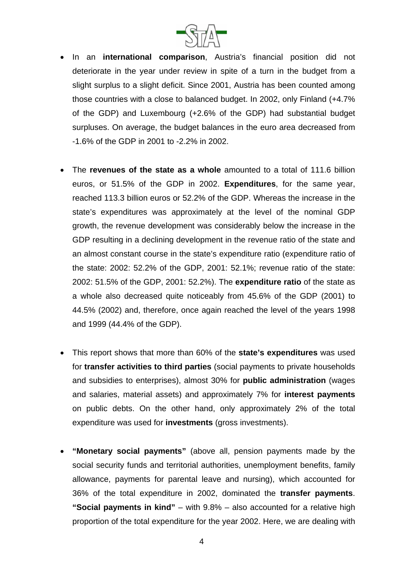

- In an **international comparison**, Austria's financial position did not deteriorate in the year under review in spite of a turn in the budget from a slight surplus to a slight deficit. Since 2001, Austria has been counted among those countries with a close to balanced budget. In 2002, only Finland (+4.7% of the GDP) and Luxembourg (+2.6% of the GDP) had substantial budget surpluses. On average, the budget balances in the euro area decreased from -1.6% of the GDP in 2001 to -2.2% in 2002.
- The **revenues of the state as a whole** amounted to a total of 111.6 billion euros, or 51.5% of the GDP in 2002. **Expenditures**, for the same year, reached 113.3 billion euros or 52.2% of the GDP. Whereas the increase in the state's expenditures was approximately at the level of the nominal GDP growth, the revenue development was considerably below the increase in the GDP resulting in a declining development in the revenue ratio of the state and an almost constant course in the state's expenditure ratio (expenditure ratio of the state: 2002: 52.2% of the GDP, 2001: 52.1%; revenue ratio of the state: 2002: 51.5% of the GDP, 2001: 52.2%). The **expenditure ratio** of the state as a whole also decreased quite noticeably from 45.6% of the GDP (2001) to 44.5% (2002) and, therefore, once again reached the level of the years 1998 and 1999 (44.4% of the GDP).
- This report shows that more than 60% of the **state's expenditures** was used for **transfer activities to third parties** (social payments to private households and subsidies to enterprises), almost 30% for **public administration** (wages and salaries, material assets) and approximately 7% for **interest payments**  on public debts. On the other hand, only approximately 2% of the total expenditure was used for **investments** (gross investments).
- **"Monetary social payments"** (above all, pension payments made by the social security funds and territorial authorities, unemployment benefits, family allowance, payments for parental leave and nursing), which accounted for 36% of the total expenditure in 2002, dominated the **transfer payments**. **"Social payments in kind"** – with 9.8% – also accounted for a relative high proportion of the total expenditure for the year 2002. Here, we are dealing with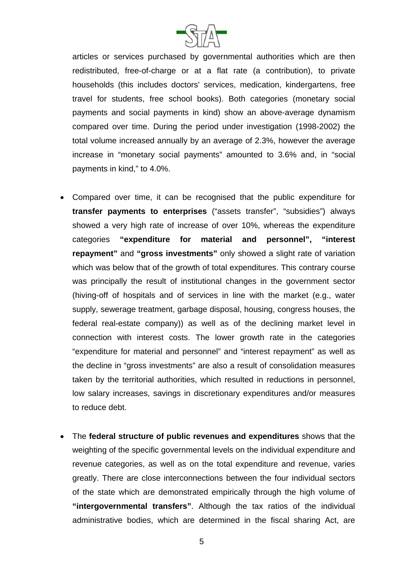

articles or services purchased by governmental authorities which are then redistributed, free-of-charge or at a flat rate (a contribution), to private households (this includes doctors' services, medication, kindergartens, free travel for students, free school books). Both categories (monetary social payments and social payments in kind) show an above-average dynamism compared over time. During the period under investigation (1998-2002) the total volume increased annually by an average of 2.3%, however the average increase in "monetary social payments" amounted to 3.6% and, in "social payments in kind," to 4.0%.

- Compared over time, it can be recognised that the public expenditure for **transfer payments to enterprises** ("assets transfer", "subsidies") always showed a very high rate of increase of over 10%, whereas the expenditure categories **"expenditure for material and personnel", "interest repayment"** and **"gross investments"** only showed a slight rate of variation which was below that of the growth of total expenditures. This contrary course was principally the result of institutional changes in the government sector (hiving-off of hospitals and of services in line with the market (e.g., water supply, sewerage treatment, garbage disposal, housing, congress houses, the federal real-estate company)) as well as of the declining market level in connection with interest costs. The lower growth rate in the categories "expenditure for material and personnel" and "interest repayment" as well as the decline in "gross investments" are also a result of consolidation measures taken by the territorial authorities, which resulted in reductions in personnel, low salary increases, savings in discretionary expenditures and/or measures to reduce debt.
- The **federal structure of public revenues and expenditures** shows that the weighting of the specific governmental levels on the individual expenditure and revenue categories, as well as on the total expenditure and revenue, varies greatly. There are close interconnections between the four individual sectors of the state which are demonstrated empirically through the high volume of **"intergovernmental transfers"**. Although the tax ratios of the individual administrative bodies, which are determined in the fiscal sharing Act, are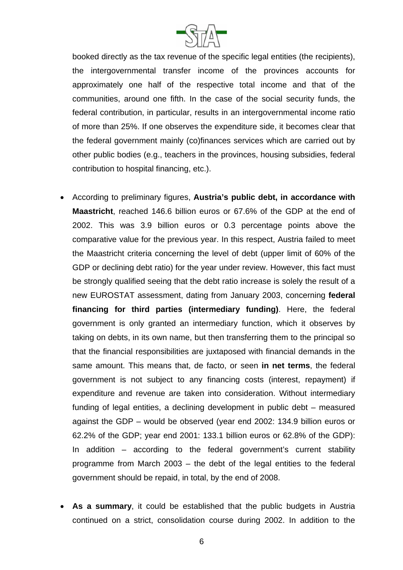

booked directly as the tax revenue of the specific legal entities (the recipients), the intergovernmental transfer income of the provinces accounts for approximately one half of the respective total income and that of the communities, around one fifth. In the case of the social security funds, the federal contribution, in particular, results in an intergovernmental income ratio of more than 25%. If one observes the expenditure side, it becomes clear that the federal government mainly (co)finances services which are carried out by other public bodies (e.g., teachers in the provinces, housing subsidies, federal contribution to hospital financing, etc.).

- According to preliminary figures, **Austria's public debt, in accordance with Maastricht**, reached 146.6 billion euros or 67.6% of the GDP at the end of 2002. This was 3.9 billion euros or 0.3 percentage points above the comparative value for the previous year. In this respect, Austria failed to meet the Maastricht criteria concerning the level of debt (upper limit of 60% of the GDP or declining debt ratio) for the year under review. However, this fact must be strongly qualified seeing that the debt ratio increase is solely the result of a new EUROSTAT assessment, dating from January 2003, concerning **federal financing for third parties (intermediary funding)**. Here, the federal government is only granted an intermediary function, which it observes by taking on debts, in its own name, but then transferring them to the principal so that the financial responsibilities are juxtaposed with financial demands in the same amount. This means that, de facto, or seen **in net terms**, the federal government is not subject to any financing costs (interest, repayment) if expenditure and revenue are taken into consideration. Without intermediary funding of legal entities, a declining development in public debt – measured against the GDP – would be observed (year end 2002: 134.9 billion euros or 62.2% of the GDP; year end 2001: 133.1 billion euros or 62.8% of the GDP): In addition – according to the federal government's current stability programme from March 2003 – the debt of the legal entities to the federal government should be repaid, in total, by the end of 2008.
- **As a summary**, it could be established that the public budgets in Austria continued on a strict, consolidation course during 2002. In addition to the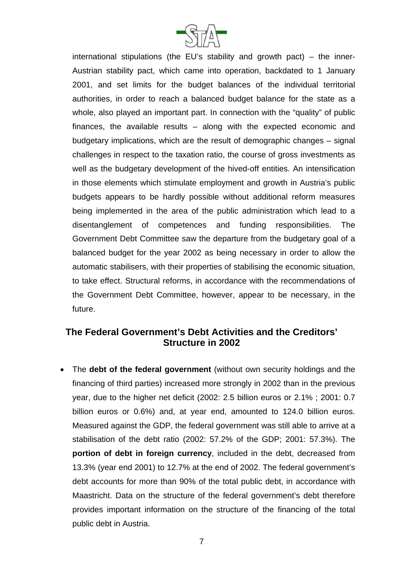

international stipulations (the EU's stability and growth pact) – the inner-Austrian stability pact, which came into operation, backdated to 1 January 2001, and set limits for the budget balances of the individual territorial authorities, in order to reach a balanced budget balance for the state as a whole, also played an important part. In connection with the "quality" of public finances, the available results – along with the expected economic and budgetary implications, which are the result of demographic changes – signal challenges in respect to the taxation ratio, the course of gross investments as well as the budgetary development of the hived-off entities. An intensification in those elements which stimulate employment and growth in Austria's public budgets appears to be hardly possible without additional reform measures being implemented in the area of the public administration which lead to a disentanglement of competences and funding responsibilities. The Government Debt Committee saw the departure from the budgetary goal of a balanced budget for the year 2002 as being necessary in order to allow the automatic stabilisers, with their properties of stabilising the economic situation, to take effect. Structural reforms, in accordance with the recommendations of the Government Debt Committee, however, appear to be necessary, in the future.

## **The Federal Government's Debt Activities and the Creditors' Structure in 2002**

• The **debt of the federal government** (without own security holdings and the financing of third parties) increased more strongly in 2002 than in the previous year, due to the higher net deficit (2002: 2.5 billion euros or 2.1% ; 2001: 0.7 billion euros or 0.6%) and, at year end, amounted to 124.0 billion euros. Measured against the GDP, the federal government was still able to arrive at a stabilisation of the debt ratio (2002: 57.2% of the GDP; 2001: 57.3%). The **portion of debt in foreign currency**, included in the debt, decreased from 13.3% (year end 2001) to 12.7% at the end of 2002. The federal government's debt accounts for more than 90% of the total public debt, in accordance with Maastricht. Data on the structure of the federal government's debt therefore provides important information on the structure of the financing of the total public debt in Austria.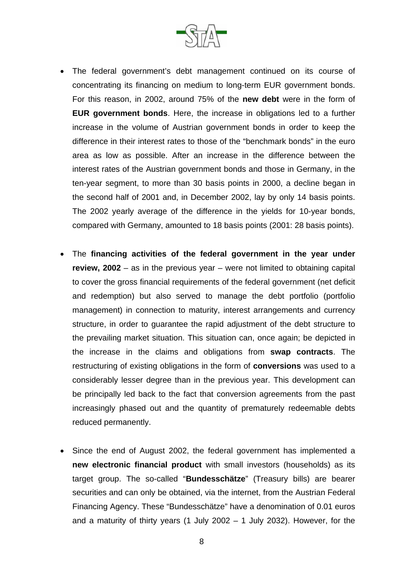

- The federal government's debt management continued on its course of concentrating its financing on medium to long-term EUR government bonds. For this reason, in 2002, around 75% of the **new debt** were in the form of **EUR government bonds**. Here, the increase in obligations led to a further increase in the volume of Austrian government bonds in order to keep the difference in their interest rates to those of the "benchmark bonds" in the euro area as low as possible. After an increase in the difference between the interest rates of the Austrian government bonds and those in Germany, in the ten-year segment, to more than 30 basis points in 2000, a decline began in the second half of 2001 and, in December 2002, lay by only 14 basis points. The 2002 yearly average of the difference in the yields for 10-year bonds, compared with Germany, amounted to 18 basis points (2001: 28 basis points).
- The **financing activities of the federal government in the year under review, 2002** – as in the previous year – were not limited to obtaining capital to cover the gross financial requirements of the federal government (net deficit and redemption) but also served to manage the debt portfolio (portfolio management) in connection to maturity, interest arrangements and currency structure, in order to guarantee the rapid adjustment of the debt structure to the prevailing market situation. This situation can, once again; be depicted in the increase in the claims and obligations from **swap contracts**. The restructuring of existing obligations in the form of **conversions** was used to a considerably lesser degree than in the previous year. This development can be principally led back to the fact that conversion agreements from the past increasingly phased out and the quantity of prematurely redeemable debts reduced permanently.
- Since the end of August 2002, the federal government has implemented a **new electronic financial product** with small investors (households) as its target group. The so-called "**Bundesschätze**" (Treasury bills) are bearer securities and can only be obtained, via the internet, from the Austrian Federal Financing Agency. These "Bundesschätze" have a denomination of 0.01 euros and a maturity of thirty years (1 July 2002  $-$  1 July 2032). However, for the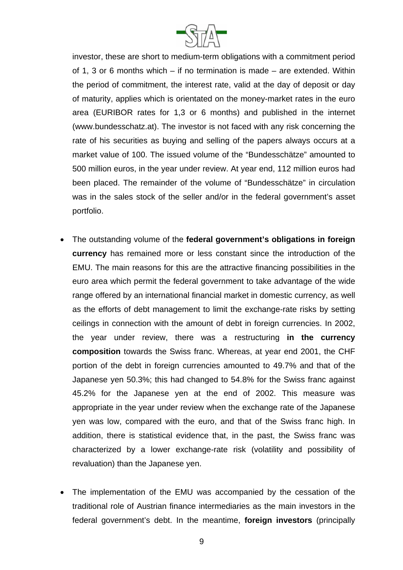

investor, these are short to medium-term obligations with a commitment period of 1, 3 or 6 months which – if no termination is made – are extended. Within the period of commitment, the interest rate, valid at the day of deposit or day of maturity, applies which is orientated on the money-market rates in the euro area (EURIBOR rates for 1,3 or 6 months) and published in the internet (www.bundesschatz.at). The investor is not faced with any risk concerning the rate of his securities as buying and selling of the papers always occurs at a market value of 100. The issued volume of the "Bundesschätze" amounted to 500 million euros, in the year under review. At year end, 112 million euros had been placed. The remainder of the volume of "Bundesschätze" in circulation was in the sales stock of the seller and/or in the federal government's asset portfolio.

- The outstanding volume of the **federal government's obligations in foreign currency** has remained more or less constant since the introduction of the EMU. The main reasons for this are the attractive financing possibilities in the euro area which permit the federal government to take advantage of the wide range offered by an international financial market in domestic currency, as well as the efforts of debt management to limit the exchange-rate risks by setting ceilings in connection with the amount of debt in foreign currencies. In 2002, the year under review, there was a restructuring **in the currency composition** towards the Swiss franc. Whereas, at year end 2001, the CHF portion of the debt in foreign currencies amounted to 49.7% and that of the Japanese yen 50.3%; this had changed to 54.8% for the Swiss franc against 45.2% for the Japanese yen at the end of 2002. This measure was appropriate in the year under review when the exchange rate of the Japanese yen was low, compared with the euro, and that of the Swiss franc high. In addition, there is statistical evidence that, in the past, the Swiss franc was characterized by a lower exchange-rate risk (volatility and possibility of revaluation) than the Japanese yen.
- The implementation of the EMU was accompanied by the cessation of the traditional role of Austrian finance intermediaries as the main investors in the federal government's debt. In the meantime, **foreign investors** (principally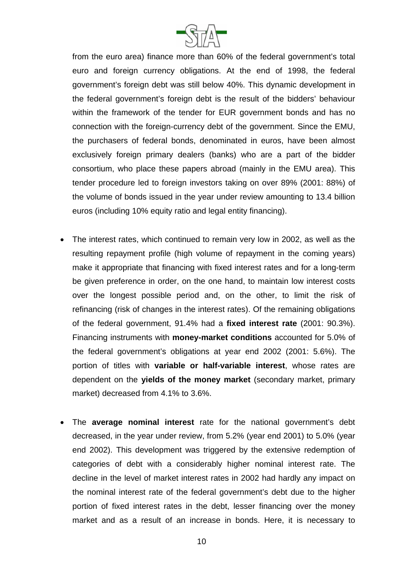

from the euro area) finance more than 60% of the federal government's total euro and foreign currency obligations. At the end of 1998, the federal government's foreign debt was still below 40%. This dynamic development in the federal government's foreign debt is the result of the bidders' behaviour within the framework of the tender for EUR government bonds and has no connection with the foreign-currency debt of the government. Since the EMU, the purchasers of federal bonds, denominated in euros, have been almost exclusively foreign primary dealers (banks) who are a part of the bidder consortium, who place these papers abroad (mainly in the EMU area). This tender procedure led to foreign investors taking on over 89% (2001: 88%) of the volume of bonds issued in the year under review amounting to 13.4 billion euros (including 10% equity ratio and legal entity financing).

- The interest rates, which continued to remain very low in 2002, as well as the resulting repayment profile (high volume of repayment in the coming years) make it appropriate that financing with fixed interest rates and for a long-term be given preference in order, on the one hand, to maintain low interest costs over the longest possible period and, on the other, to limit the risk of refinancing (risk of changes in the interest rates). Of the remaining obligations of the federal government, 91.4% had a **fixed interest rate** (2001: 90.3%). Financing instruments with **money-market conditions** accounted for 5.0% of the federal government's obligations at year end 2002 (2001: 5.6%). The portion of titles with **variable or half-variable interest**, whose rates are dependent on the **yields of the money market** (secondary market, primary market) decreased from 4.1% to 3.6%.
- The **average nominal interest** rate for the national government's debt decreased, in the year under review, from 5.2% (year end 2001) to 5.0% (year end 2002). This development was triggered by the extensive redemption of categories of debt with a considerably higher nominal interest rate. The decline in the level of market interest rates in 2002 had hardly any impact on the nominal interest rate of the federal government's debt due to the higher portion of fixed interest rates in the debt, lesser financing over the money market and as a result of an increase in bonds. Here, it is necessary to